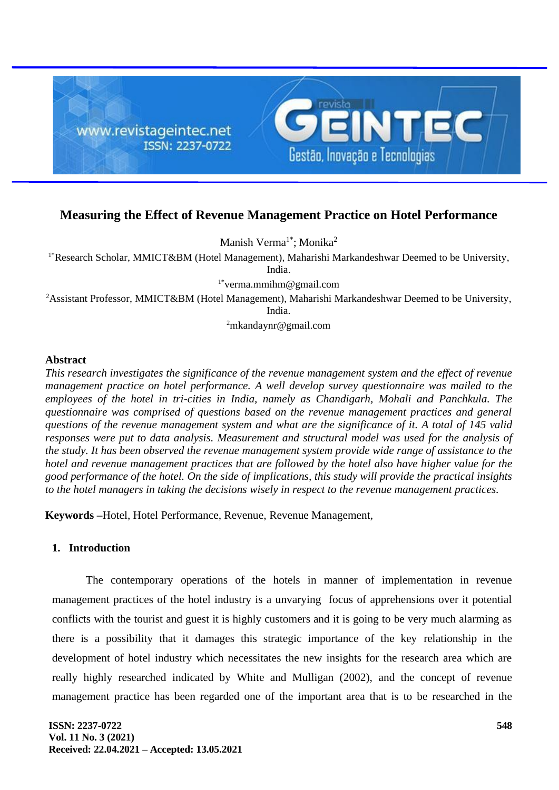

# **Measuring the Effect of Revenue Management Practice on Hotel Performance**

Manish Verma<sup>1\*</sup>; Monika<sup>2</sup>

<sup>1\*</sup>Research Scholar, MMICT&BM (Hotel Management), Maharishi Markandeshwar Deemed to be University,

India.

1\*verma.mmihm@gmail.com

<sup>2</sup> Assistant Professor, MMICT&BM (Hotel Management), Maharishi Markandeshwar Deemed to be University, India.

 $2m$ kandaynr@gmail.com

# **Abstract**

*This research investigates the significance of the revenue management system and the effect of revenue management practice on hotel performance. A well develop survey questionnaire was mailed to the employees of the hotel in tri-cities in India, namely as Chandigarh, Mohali and Panchkula. The questionnaire was comprised of questions based on the revenue management practices and general questions of the revenue management system and what are the significance of it. A total of 145 valid responses were put to data analysis. Measurement and structural model was used for the analysis of the study. It has been observed the revenue management system provide wide range of assistance to the hotel and revenue management practices that are followed by the hotel also have higher value for the good performance of the hotel. On the side of implications, this study will provide the practical insights to the hotel managers in taking the decisions wisely in respect to the revenue management practices.* 

**Keywords –**Hotel, Hotel Performance, Revenue, Revenue Management,

# **1. Introduction**

The contemporary operations of the hotels in manner of implementation in revenue management practices of the hotel industry is a unvarying focus of apprehensions over it potential conflicts with the tourist and guest it is highly customers and it is going to be very much alarming as there is a possibility that it damages this strategic importance of the key relationship in the development of hotel industry which necessitates the new insights for the research area which are really highly researched indicated by White and Mulligan (2002), and the concept of revenue management practice has been regarded one of the important area that is to be researched in the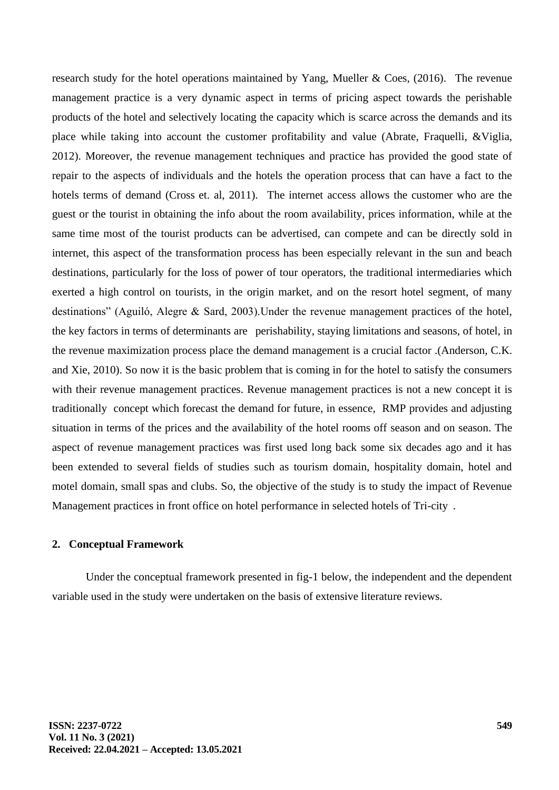research study for the hotel operations maintained by Yang, Mueller & Coes,  $(2016)$ . The revenue management practice is a very dynamic aspect in terms of pricing aspect towards the perishable products of the hotel and selectively locating the capacity which is scarce across the demands and its place while taking into account the customer profitability and value (Abrate, Fraquelli, &Viglia, 2012). Moreover, the revenue management techniques and practice has provided the good state of repair to the aspects of individuals and the hotels the operation process that can have a fact to the hotels terms of demand (Cross et. al, 2011). The internet access allows the customer who are the guest or the tourist in obtaining the info about the room availability, prices information, while at the same time most of the tourist products can be advertised, can compete and can be directly sold in internet, this aspect of the transformation process has been especially relevant in the sun and beach destinations, particularly for the loss of power of tour operators, the traditional intermediaries which exerted a high control on tourists, in the origin market, and on the resort hotel segment, of many destinations" (Aguiló, Alegre & Sard, 2003).Under the revenue management practices of the hotel, the key factors in terms of determinants are "perishability, staying limitations and seasons, of hotel, in the revenue maximization process place the demand management is a crucial factor .(Anderson, C.K. and Xie, 2010). So now it is the basic problem that is coming in for the hotel to satisfy the consumers with their revenue management practices. Revenue management practices is not a new concept it is traditionally concept which forecast the demand for future, in essence, RMP provides and adjusting situation in terms of the prices and the availability of the hotel rooms off season and on season. The aspect of revenue management practices was first used long back some six decades ago and it has been extended to several fields of studies such as tourism domain, hospitality domain, hotel and motel domain, small spas and clubs. So, the objective of the study is to study the impact of Revenue Management practices in front office on hotel performance in selected hotels of Tri-city.

### **2. Conceptual Framework**

Under the conceptual framework presented in fig-1 below, the independent and the dependent variable used in the study were undertaken on the basis of extensive literature reviews.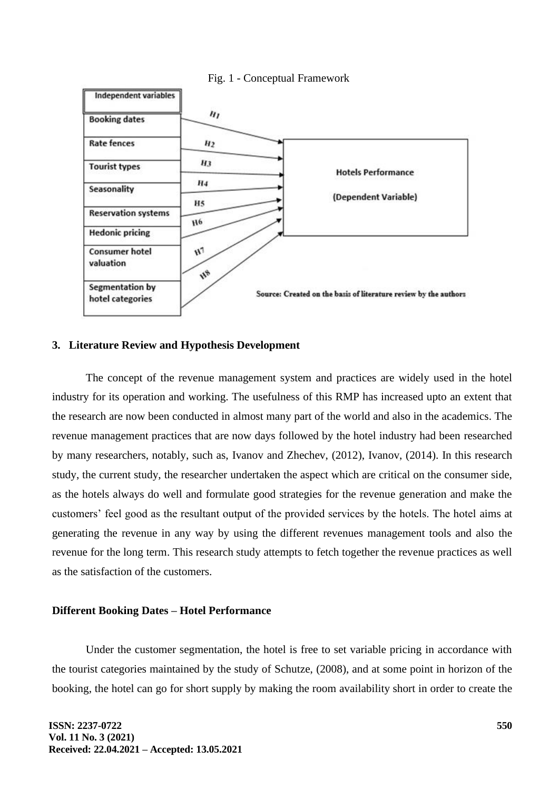

### Fig. 1 - Conceptual Framework

# **3. Literature Review and Hypothesis Development**

The concept of the revenue management system and practices are widely used in the hotel industry for its operation and working. The usefulness of this RMP has increased upto an extent that the research are now been conducted in almost many part of the world and also in the academics. The revenue management practices that are now days followed by the hotel industry had been researched by many researchers, notably, such as, Ivanov and Zhechev, (2012), Ivanov, (2014). In this research study, the current study, the researcher undertaken the aspect which are critical on the consumer side, as the hotels always do well and formulate good strategies for the revenue generation and make the customers' feel good as the resultant output of the provided services by the hotels. The hotel aims at generating the revenue in any way by using the different revenues management tools and also the revenue for the long term. This research study attempts to fetch together the revenue practices as well as the satisfaction of the customers.

### **Different Booking Dates – Hotel Performance**

Under the customer segmentation, the hotel is free to set variable pricing in accordance with the tourist categories maintained by the study of Schutze, (2008), and at some point in horizon of the booking, the hotel can go for short supply by making the room availability short in order to create the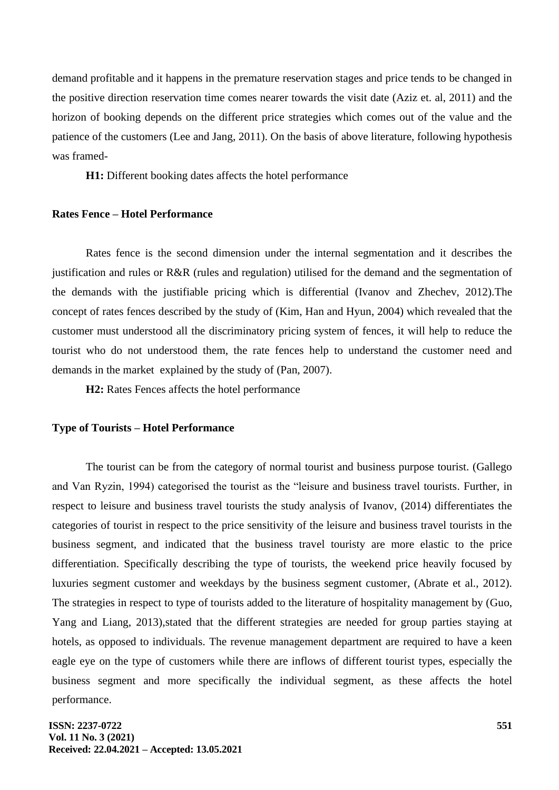demand profitable and it happens in the premature reservation stages and price tends to be changed in the positive direction reservation time comes nearer towards the visit date (Aziz et. al, 2011) and the horizon of booking depends on the different price strategies which comes out of the value and the patience of the customers (Lee and Jang, 2011). On the basis of above literature, following hypothesis was framed-

**H1:** Different booking dates affects the hotel performance

# **Rates Fence – Hotel Performance**

Rates fence is the second dimension under the internal segmentation and it describes the justification and rules or R&R (rules and regulation) utilised for the demand and the segmentation of the demands with the justifiable pricing which is differential (Ivanov and Zhechev, 2012).The concept of rates fences described by the study of (Kim, Han and Hyun, 2004) which revealed that the customer must understood all the discriminatory pricing system of fences, it will help to reduce the tourist who do not understood them, the rate fences help to understand the customer need and demands in the market explained by the study of (Pan, 2007).

**H2:** Rates Fences affects the hotel performance

### **Type of Tourists – Hotel Performance**

The tourist can be from the category of normal tourist and business purpose tourist. (Gallego and Van Ryzin, 1994) categorised the tourist as the "leisure and business travel tourists. Further, in respect to leisure and business travel tourists the study analysis of Ivanov, (2014) differentiates the categories of tourist in respect to the price sensitivity of the leisure and business travel tourists in the business segment, and indicated that the business travel touristy are more elastic to the price differentiation. Specifically describing the type of tourists, the weekend price heavily focused by luxuries segment customer and weekdays by the business segment customer, (Abrate et al., 2012). The strategies in respect to type of tourists added to the literature of hospitality management by (Guo, Yang and Liang, 2013),stated that the different strategies are needed for group parties staying at hotels, as opposed to individuals. The revenue management department are required to have a keen eagle eye on the type of customers while there are inflows of different tourist types, especially the business segment and more specifically the individual segment, as these affects the hotel performance.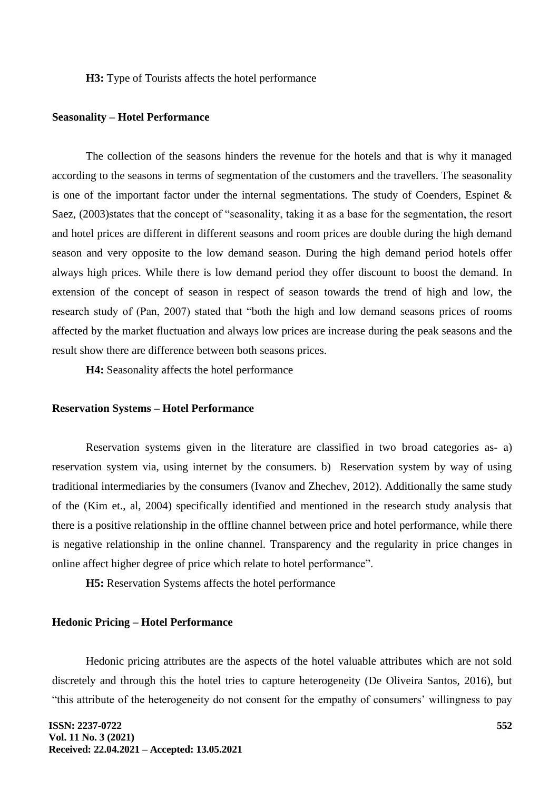**H3:** Type of Tourists affects the hotel performance

#### **Seasonality – Hotel Performance**

The collection of the seasons hinders the revenue for the hotels and that is why it managed according to the seasons in terms of segmentation of the customers and the travellers. The seasonality is one of the important factor under the internal segmentations. The study of Coenders, Espinet & Saez, (2003)states that the concept of "seasonality, taking it as a base for the segmentation, the resort and hotel prices are different in different seasons and room prices are double during the high demand season and very opposite to the low demand season. During the high demand period hotels offer always high prices. While there is low demand period they offer discount to boost the demand. In extension of the concept of season in respect of season towards the trend of high and low, the research study of (Pan, 2007) stated that "both the high and low demand seasons prices of rooms affected by the market fluctuation and always low prices are increase during the peak seasons and the result show there are difference between both seasons prices.

**H4:** Seasonality affects the hotel performance

### **Reservation Systems – Hotel Performance**

Reservation systems given in the literature are classified in two broad categories as- a) reservation system via, using internet by the consumers. b) Reservation system by way of using traditional intermediaries by the consumers (Ivanov and Zhechev, 2012). Additionally the same study of the (Kim et., al, 2004) specifically identified and mentioned in the research study analysis that there is a positive relationship in the offline channel between price and hotel performance, while there is negative relationship in the online channel. Transparency and the regularity in price changes in online affect higher degree of price which relate to hotel performance".

**H5:** Reservation Systems affects the hotel performance

# **Hedonic Pricing – Hotel Performance**

Hedonic pricing attributes are the aspects of the hotel valuable attributes which are not sold discretely and through this the hotel tries to capture heterogeneity (De Oliveira Santos, 2016), but "this attribute of the heterogeneity do not consent for the empathy of consumers' willingness to pay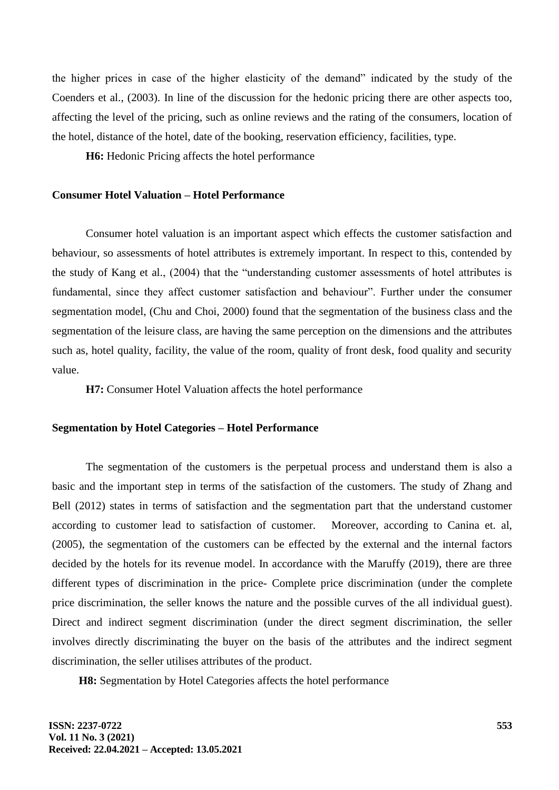the higher prices in case of the higher elasticity of the demand" indicated by the study of the Coenders et al., (2003). In line of the discussion for the hedonic pricing there are other aspects too, affecting the level of the pricing, such as online reviews and the rating of the consumers, location of the hotel, distance of the hotel, date of the booking, reservation efficiency, facilities, type.

**H6:** Hedonic Pricing affects the hotel performance

# **Consumer Hotel Valuation – Hotel Performance**

Consumer hotel valuation is an important aspect which effects the customer satisfaction and behaviour, so assessments of hotel attributes is extremely important. In respect to this, contended by the study of Kang et al., (2004) that the "understanding customer assessments of hotel attributes is fundamental, since they affect customer satisfaction and behaviour". Further under the consumer segmentation model, (Chu and Choi, 2000) found that the segmentation of the business class and the segmentation of the leisure class, are having the same perception on the dimensions and the attributes such as, hotel quality, facility, the value of the room, quality of front desk, food quality and security value.

**H7:** Consumer Hotel Valuation affects the hotel performance

# **Segmentation by Hotel Categories – Hotel Performance**

The segmentation of the customers is the perpetual process and understand them is also a basic and the important step in terms of the satisfaction of the customers. The study of Zhang and Bell (2012) states in terms of satisfaction and the segmentation part that the understand customer according to customer lead to satisfaction of customer. "Moreover, according to Canina et. al, (2005), the segmentation of the customers can be effected by the external and the internal factors decided by the hotels for its revenue model. In accordance with the Maruffy (2019), there are three different types of discrimination in the price- Complete price discrimination (under the complete price discrimination, the seller knows the nature and the possible curves of the all individual guest). Direct and indirect segment discrimination (under the direct segment discrimination, the seller involves directly discriminating the buyer on the basis of the attributes and the indirect segment discrimination, the seller utilises attributes of the product.

**H8:** Segmentation by Hotel Categories affects the hotel performance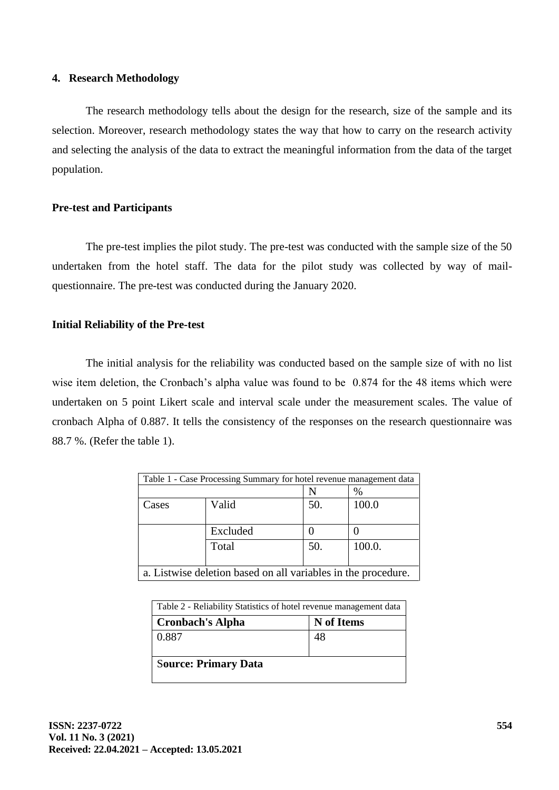# **4. Research Methodology**

The research methodology tells about the design for the research, size of the sample and its selection. Moreover, research methodology states the way that how to carry on the research activity and selecting the analysis of the data to extract the meaningful information from the data of the target population.

# **Pre-test and Participants**

The pre-test implies the pilot study. The pre-test was conducted with the sample size of the 50 undertaken from the hotel staff. The data for the pilot study was collected by way of mailquestionnaire. The pre-test was conducted during the January 2020.

# **Initial Reliability of the Pre-test**

The initial analysis for the reliability was conducted based on the sample size of with no list wise item deletion, the Cronbach's alpha value was found to be 0.874 for the 48 items which were undertaken on 5 point Likert scale and interval scale under the measurement scales. The value of cronbach Alpha of 0.887. It tells the consistency of the responses on the research questionnaire was 88.7 %. (Refer the table 1).

| Table 1 - Case Processing Summary for hotel revenue management data |          |     |        |
|---------------------------------------------------------------------|----------|-----|--------|
| %                                                                   |          |     |        |
| Cases                                                               | Valid    | 50. | 100.0  |
|                                                                     | Excluded |     |        |
|                                                                     | Total    | 50. | 100.0. |
| a. Listwise deletion based on all variables in the procedure.       |          |     |        |

| Table 2 - Reliability Statistics of hotel revenue management data |            |  |
|-------------------------------------------------------------------|------------|--|
| <b>Cronbach's Alpha</b>                                           | N of Items |  |
| 0.887                                                             | 48         |  |
| <b>Source: Primary Data</b>                                       |            |  |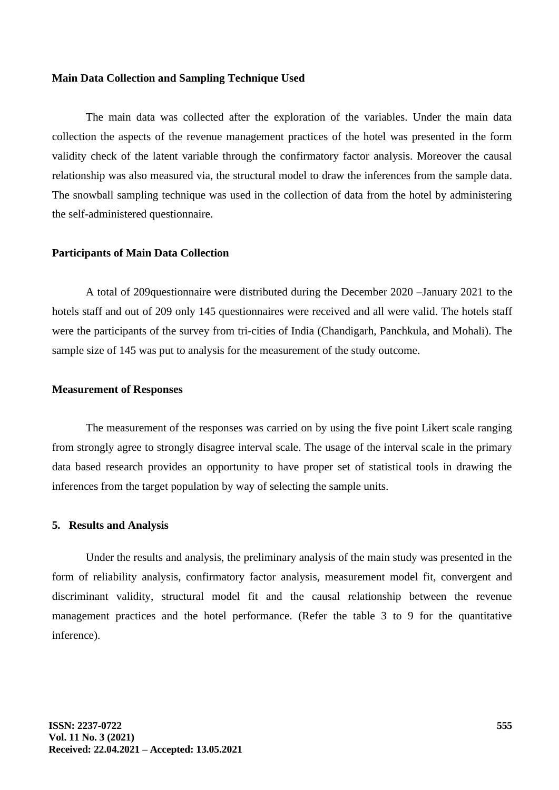### **Main Data Collection and Sampling Technique Used**

The main data was collected after the exploration of the variables. Under the main data collection the aspects of the revenue management practices of the hotel was presented in the form validity check of the latent variable through the confirmatory factor analysis. Moreover the causal relationship was also measured via, the structural model to draw the inferences from the sample data. The snowball sampling technique was used in the collection of data from the hotel by administering the self-administered questionnaire.

### **Participants of Main Data Collection**

A total of 209questionnaire were distributed during the December 2020 –January 2021 to the hotels staff and out of 209 only 145 questionnaires were received and all were valid. The hotels staff were the participants of the survey from tri-cities of India (Chandigarh, Panchkula, and Mohali). The sample size of 145 was put to analysis for the measurement of the study outcome.

#### **Measurement of Responses**

The measurement of the responses was carried on by using the five point Likert scale ranging from strongly agree to strongly disagree interval scale. The usage of the interval scale in the primary data based research provides an opportunity to have proper set of statistical tools in drawing the inferences from the target population by way of selecting the sample units.

#### **5. Results and Analysis**

Under the results and analysis, the preliminary analysis of the main study was presented in the form of reliability analysis, confirmatory factor analysis, measurement model fit, convergent and discriminant validity, structural model fit and the causal relationship between the revenue management practices and the hotel performance. (Refer the table 3 to 9 for the quantitative inference).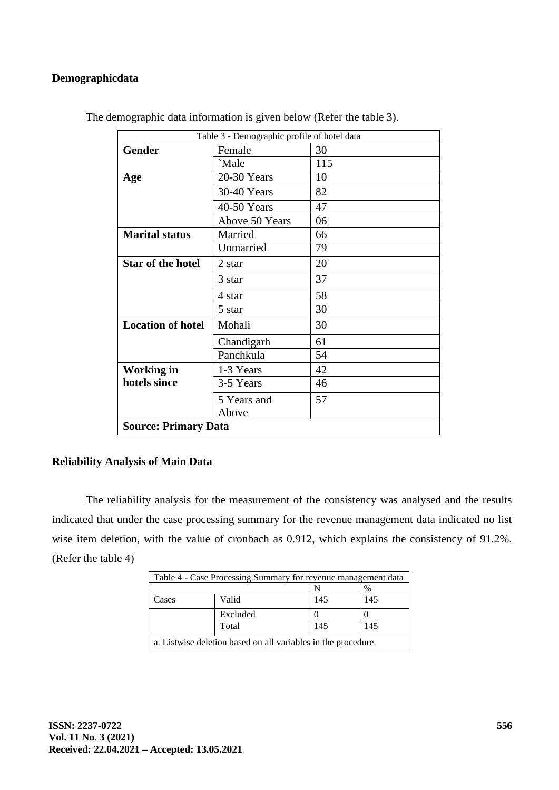# **Demographicdata**

| Table 3 - Demographic profile of hotel data |                |     |  |
|---------------------------------------------|----------------|-----|--|
| <b>Gender</b>                               | Female         | 30  |  |
|                                             | `Male          | 115 |  |
| Age                                         | 20-30 Years    | 10  |  |
|                                             | 30-40 Years    | 82  |  |
|                                             | 40-50 Years    | 47  |  |
|                                             | Above 50 Years | 06  |  |
| <b>Marital status</b>                       | Married        | 66  |  |
|                                             | Unmarried      | 79  |  |
| <b>Star of the hotel</b>                    | 2 star         | 20  |  |
|                                             | 3 star         | 37  |  |
|                                             | 4 star         | 58  |  |
|                                             | 5 star         | 30  |  |
| <b>Location of hotel</b>                    | Mohali         | 30  |  |
|                                             | Chandigarh     | 61  |  |
|                                             | Panchkula      | 54  |  |
| <b>Working in</b>                           | 1-3 Years      | 42  |  |
| hotels since                                | 3-5 Years      | 46  |  |
|                                             | 5 Years and    | 57  |  |
|                                             | Above          |     |  |
| <b>Source: Primary Data</b>                 |                |     |  |

The demographic data information is given below (Refer the table 3).

# **Reliability Analysis of Main Data**

The reliability analysis for the measurement of the consistency was analysed and the results indicated that under the case processing summary for the revenue management data indicated no list wise item deletion, with the value of cronbach as 0.912, which explains the consistency of 91.2%. (Refer the table 4)

| Table 4 - Case Processing Summary for revenue management data |          |     |     |
|---------------------------------------------------------------|----------|-----|-----|
| %                                                             |          |     |     |
| Cases                                                         | Valid    | 145 | 145 |
|                                                               | Excluded |     |     |
|                                                               | Total    | 145 | 145 |
| a. Listwise deletion based on all variables in the procedure. |          |     |     |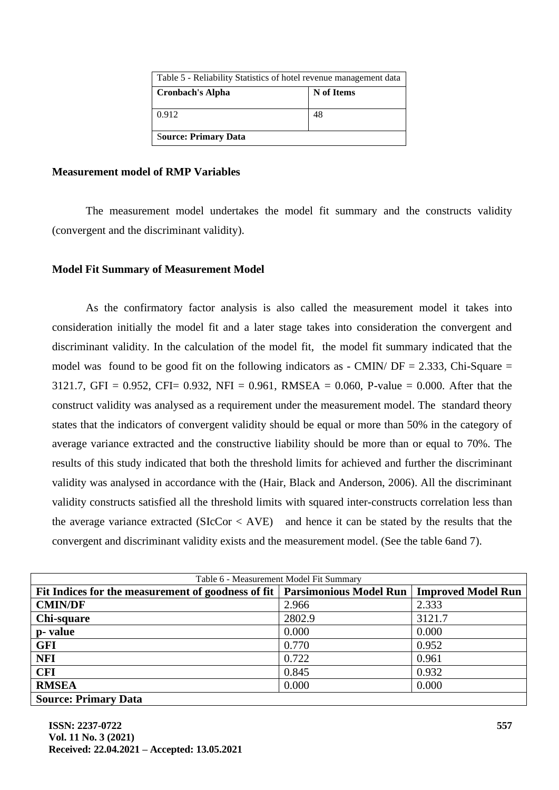| Table 5 - Reliability Statistics of hotel revenue management data |            |  |
|-------------------------------------------------------------------|------------|--|
| <b>Cronbach's Alpha</b>                                           | N of Items |  |
| 0.912                                                             | 48         |  |
| <b>Source: Primary Data</b>                                       |            |  |

# **Measurement model of RMP Variables**

The measurement model undertakes the model fit summary and the constructs validity (convergent and the discriminant validity).

# **Model Fit Summary of Measurement Model**

As the confirmatory factor analysis is also called the measurement model it takes into consideration initially the model fit and a later stage takes into consideration the convergent and discriminant validity. In the calculation of the model fit, the model fit summary indicated that the model was found to be good fit on the following indicators as  $\text{-}$  CMIN/ DF = 2.333, Chi-Square = 3121.7, GFI = 0.952, CFI= 0.932, NFI = 0.961, RMSEA = 0.060, P-value = 0.000. After that the construct validity was analysed as a requirement under the measurement model. The standard theory states that the indicators of convergent validity should be equal or more than 50% in the category of average variance extracted and the constructive liability should be more than or equal to 70%. The results of this study indicated that both the threshold limits for achieved and further the discriminant validity was analysed in accordance with the (Hair, Black and Anderson, 2006). All the discriminant validity constructs satisfied all the threshold limits with squared inter-constructs correlation less than the average variance extracted ( $SICCor < AVE$ ) and hence it can be stated by the results that the convergent and discriminant validity exists and the measurement model. (See the table 6and 7).

| Table 6 - Measurement Model Fit Summary                                     |        |                           |  |
|-----------------------------------------------------------------------------|--------|---------------------------|--|
| Fit Indices for the measurement of goodness of fit   Parsimonious Model Run |        | <b>Improved Model Run</b> |  |
| <b>CMIN/DF</b>                                                              | 2.966  | 2.333                     |  |
| Chi-square                                                                  | 2802.9 | 3121.7                    |  |
| p-value                                                                     | 0.000  | 0.000                     |  |
| <b>GFI</b>                                                                  | 0.770  | 0.952                     |  |
| <b>NFI</b>                                                                  | 0.722  | 0.961                     |  |
| <b>CFI</b>                                                                  | 0.845  | 0.932                     |  |
| <b>RMSEA</b>                                                                | 0.000  | 0.000                     |  |
| <b>Source: Primary Data</b>                                                 |        |                           |  |

**ISSN: 2237-0722 Vol. 11 No. 3 (2021) Received: 22.04.2021 – Accepted: 13.05.2021**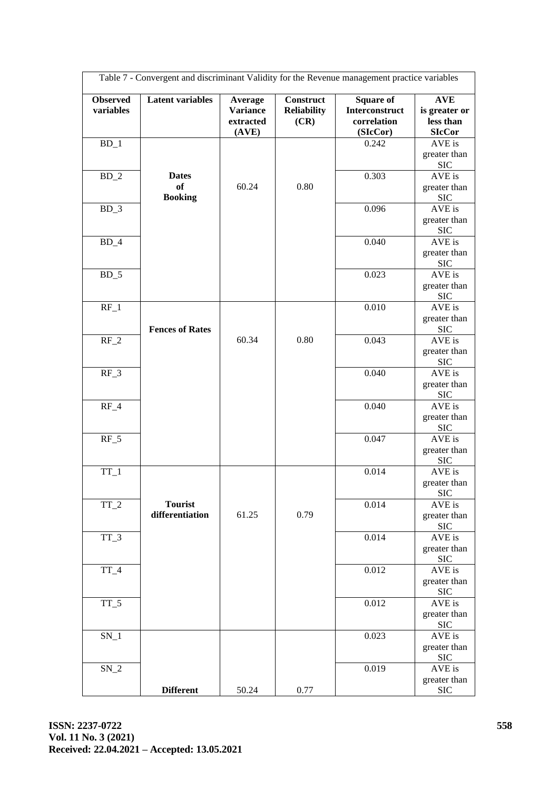|                              | Table 7 - Convergent and discriminant Validity for the Revenue management practice variables |                                                  |                                                |                                                               |                                                           |
|------------------------------|----------------------------------------------------------------------------------------------|--------------------------------------------------|------------------------------------------------|---------------------------------------------------------------|-----------------------------------------------------------|
| <b>Observed</b><br>variables | <b>Latent variables</b>                                                                      | Average<br><b>Variance</b><br>extracted<br>(AVE) | <b>Construct</b><br><b>Reliability</b><br>(CR) | <b>Square of</b><br>Interconstruct<br>correlation<br>(SIcCor) | <b>AVE</b><br>is greater or<br>less than<br><b>SIcCor</b> |
| $BD_1$                       |                                                                                              |                                                  |                                                | 0.242                                                         | AVE is                                                    |
|                              |                                                                                              |                                                  |                                                |                                                               | greater than<br><b>SIC</b>                                |
| $BD_2$                       | <b>Dates</b><br><b>of</b><br><b>Booking</b>                                                  | 60.24                                            | 0.80                                           | 0.303                                                         | AVE is<br>greater than<br><b>SIC</b>                      |
| $BD_3$                       |                                                                                              |                                                  |                                                | 0.096                                                         | AVE is<br>greater than                                    |
| $BD_4$                       |                                                                                              |                                                  |                                                | 0.040                                                         | <b>SIC</b><br>AVE is                                      |
|                              |                                                                                              |                                                  |                                                |                                                               | greater than<br><b>SIC</b>                                |
| $BD_5$                       |                                                                                              |                                                  |                                                | 0.023                                                         | AVE is<br>greater than                                    |
| $RF_1$                       |                                                                                              |                                                  |                                                | 0.010                                                         | <b>SIC</b><br>AVE is<br>greater than                      |
| $RF_2$                       | <b>Fences of Rates</b>                                                                       | 60.34                                            | 0.80                                           | 0.043                                                         | <b>SIC</b><br>AVE is                                      |
|                              |                                                                                              |                                                  |                                                |                                                               | greater than<br><b>SIC</b>                                |
| $RF_3$                       |                                                                                              |                                                  |                                                | 0.040                                                         | $AVE$ is<br>greater than<br><b>SIC</b>                    |
| $RF_4$                       |                                                                                              |                                                  |                                                | 0.040                                                         | AVE is<br>greater than                                    |
| $RF_5$                       |                                                                                              |                                                  |                                                | 0.047                                                         | <b>SIC</b><br>AVE is                                      |
|                              |                                                                                              |                                                  |                                                |                                                               | greater than<br><b>SIC</b>                                |
| $TT_1$                       |                                                                                              |                                                  |                                                | 0.014                                                         | AVE is<br>greater than<br><b>SIC</b>                      |
| $TT_2$                       | <b>Tourist</b><br>differentiation                                                            | 61.25                                            | 0.79                                           | 0.014                                                         | AVE is<br>greater than<br><b>SIC</b>                      |
| $TT_3$                       |                                                                                              |                                                  |                                                | 0.014                                                         | AVE is<br>greater than                                    |
| $TT_4$                       |                                                                                              |                                                  |                                                | 0.012                                                         | <b>SIC</b><br>$AVE$ is<br>greater than                    |
| $TT_5$                       |                                                                                              |                                                  |                                                | 0.012                                                         | <b>SIC</b><br>AVE is<br>greater than<br><b>SIC</b>        |
| $SN_1$                       |                                                                                              |                                                  |                                                | 0.023                                                         | AVE is<br>greater than<br><b>SIC</b>                      |
| $SN_2$                       |                                                                                              |                                                  |                                                | 0.019                                                         | AVE is<br>greater than                                    |
|                              | <b>Different</b>                                                                             | 50.24                                            | 0.77                                           |                                                               | <b>SIC</b>                                                |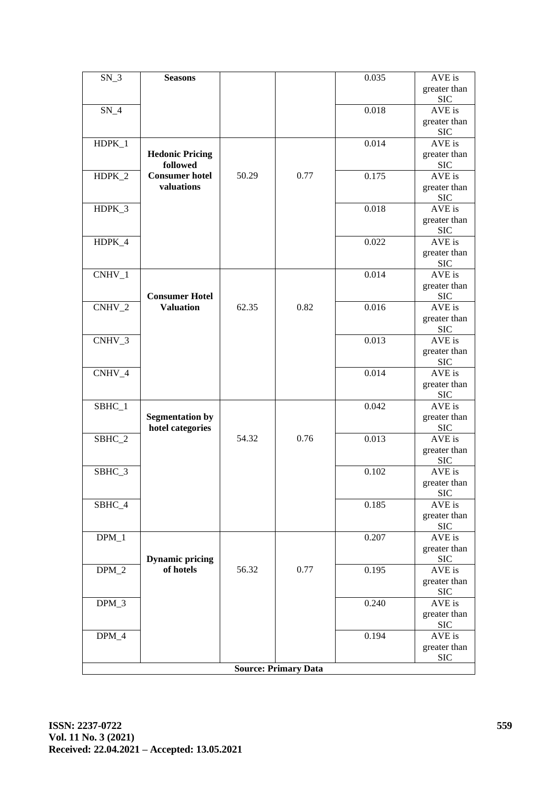| $SN_3$   | <b>Seasons</b>                      |       |                             | 0.035 | AVE is                     |
|----------|-------------------------------------|-------|-----------------------------|-------|----------------------------|
|          |                                     |       |                             |       | greater than               |
|          |                                     |       |                             |       | <b>SIC</b>                 |
| $SN_4$   |                                     |       |                             | 0.018 | AVE is                     |
|          |                                     |       |                             |       | greater than               |
|          |                                     |       |                             |       | <b>SIC</b>                 |
| HDPK_1   |                                     |       |                             | 0.014 | AVE is                     |
|          | <b>Hedonic Pricing</b>              |       |                             |       | greater than               |
|          | followed                            |       | 0.77                        |       | <b>SIC</b>                 |
| HDPK_2   | <b>Consumer hotel</b><br>valuations | 50.29 |                             | 0.175 | $AVE$ is                   |
|          |                                     |       |                             |       | greater than<br><b>SIC</b> |
| HDPK_3   |                                     |       |                             | 0.018 | AVE is                     |
|          |                                     |       |                             |       | greater than               |
|          |                                     |       |                             |       | <b>SIC</b>                 |
| HDPK_4   |                                     |       |                             | 0.022 | $\overline{AVE}$ is        |
|          |                                     |       |                             |       | greater than               |
|          |                                     |       |                             |       | <b>SIC</b>                 |
| CNHV_1   |                                     |       |                             | 0.014 | AVE is                     |
|          |                                     |       |                             |       | greater than               |
|          | <b>Consumer Hotel</b>               |       |                             |       | <b>SIC</b>                 |
| $CNHV_2$ | <b>Valuation</b>                    | 62.35 | 0.82                        | 0.016 | AVE is                     |
|          |                                     |       |                             |       | greater than               |
|          |                                     |       |                             |       | <b>SIC</b>                 |
| CNHV_3   |                                     |       |                             | 0.013 | $AVE$ is                   |
|          |                                     |       |                             |       | greater than               |
|          |                                     |       |                             |       | <b>SIC</b>                 |
| CNHV_4   |                                     |       |                             | 0.014 | AVE is                     |
|          |                                     |       |                             |       | greater than<br><b>SIC</b> |
| SBHC_1   |                                     |       |                             | 0.042 | AVE is                     |
|          | <b>Segmentation by</b>              |       |                             |       | greater than               |
|          | hotel categories                    |       |                             |       | <b>SIC</b>                 |
| SBHC_2   |                                     | 54.32 | 0.76                        | 0.013 | AVE is                     |
|          |                                     |       |                             |       | greater than               |
|          |                                     |       |                             |       | <b>SIC</b>                 |
| SBHC_3   |                                     |       |                             | 0.102 | AVE is                     |
|          |                                     |       |                             |       | greater than               |
|          |                                     |       |                             |       | <b>SIC</b>                 |
| SBHC_4   |                                     |       |                             | 0.185 | AVE is                     |
|          |                                     |       |                             |       | greater than               |
|          |                                     |       |                             |       | <b>SIC</b>                 |
| $DPM_1$  |                                     |       |                             | 0.207 | AVE is                     |
|          |                                     |       |                             |       | greater than               |
|          | <b>Dynamic pricing</b><br>of hotels | 56.32 | 0.77                        | 0.195 | <b>SIC</b><br>AVE is       |
| $DPM_2$  |                                     |       |                             |       | greater than               |
|          |                                     |       |                             |       | <b>SIC</b>                 |
| $DPM_3$  |                                     |       |                             | 0.240 | AVE is                     |
|          |                                     |       |                             |       | greater than               |
|          |                                     |       |                             |       | <b>SIC</b>                 |
| $DPM_4$  |                                     |       |                             | 0.194 | AVE is                     |
|          |                                     |       |                             |       | greater than               |
|          |                                     |       |                             |       | <b>SIC</b>                 |
|          |                                     |       | <b>Source: Primary Data</b> |       |                            |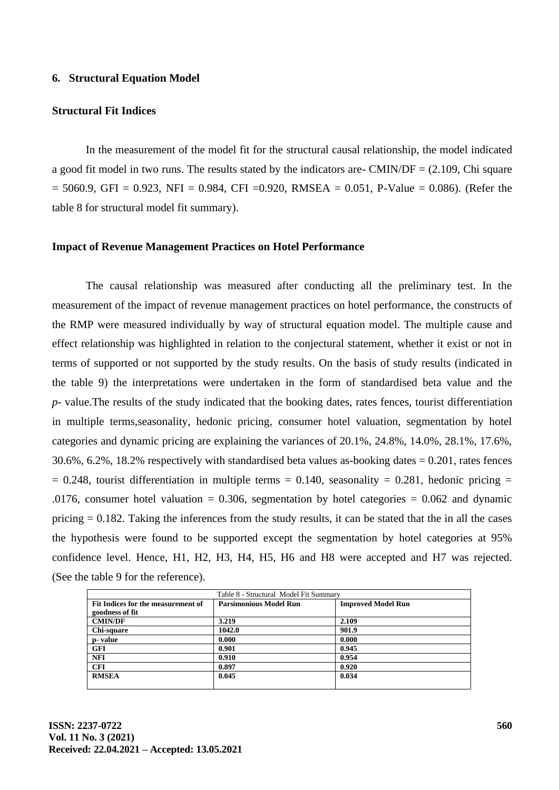#### **6. Structural Equation Model**

# **Structural Fit Indices**

In the measurement of the model fit for the structural causal relationship, the model indicated a good fit model in two runs. The results stated by the indicators are- CMIN/DF  $= (2.109, C)$  Chi square  $= 5060.9$ , GFI = 0.923, NFI = 0.984, CFI = 0.920, RMSEA = 0.051, P-Value = 0.086). (Refer the table 8 for structural model fit summary).

#### **Impact of Revenue Management Practices on Hotel Performance**

The causal relationship was measured after conducting all the preliminary test. In the measurement of the impact of revenue management practices on hotel performance, the constructs of the RMP were measured individually by way of structural equation model. The multiple cause and effect relationship was highlighted in relation to the conjectural statement, whether it exist or not in terms of supported or not supported by the study results. On the basis of study results (indicated in the table 9) the interpretations were undertaken in the form of standardised beta value and the *p*- value.The results of the study indicated that the booking dates, rates fences, tourist differentiation in multiple terms,seasonality, hedonic pricing, consumer hotel valuation, segmentation by hotel categories and dynamic pricing are explaining the variances of 20.1%, 24.8%, 14.0%, 28.1%, 17.6%, 30.6%, 6.2%, 18.2% respectively with standardised beta values as-booking dates = 0.201, rates fences  $= 0.248$ , tourist differentiation in multiple terms  $= 0.140$ , seasonality  $= 0.281$ , hedonic pricing  $=$ .0176, consumer hotel valuation = 0.306, segmentation by hotel categories =  $0.062$  and dynamic pricing  $= 0.182$ . Taking the inferences from the study results, it can be stated that the in all the cases the hypothesis were found to be supported except the segmentation by hotel categories at 95% confidence level. Hence, H1, H2, H3, H4, H5, H6 and H8 were accepted and H7 was rejected. (See the table 9 for the reference).

| Table 8 - Structural Model Fit Summary |                               |                           |  |
|----------------------------------------|-------------------------------|---------------------------|--|
| Fit Indices for the measurement of     | <b>Parsimonious Model Run</b> | <b>Improved Model Run</b> |  |
| goodness of fit                        |                               |                           |  |
| <b>CMIN/DF</b>                         | 3.219                         | 2.109                     |  |
| Chi-square                             | 1042.0                        | 901.9                     |  |
| p- value                               | 0.000                         | 0.000                     |  |
| <b>GFI</b>                             | 0.901                         | 0.945                     |  |
| <b>NFI</b>                             | 0.910                         | 0.954                     |  |
| <b>CFI</b>                             | 0.897                         | 0.920                     |  |
| <b>RMSEA</b>                           | 0.045                         | 0.034                     |  |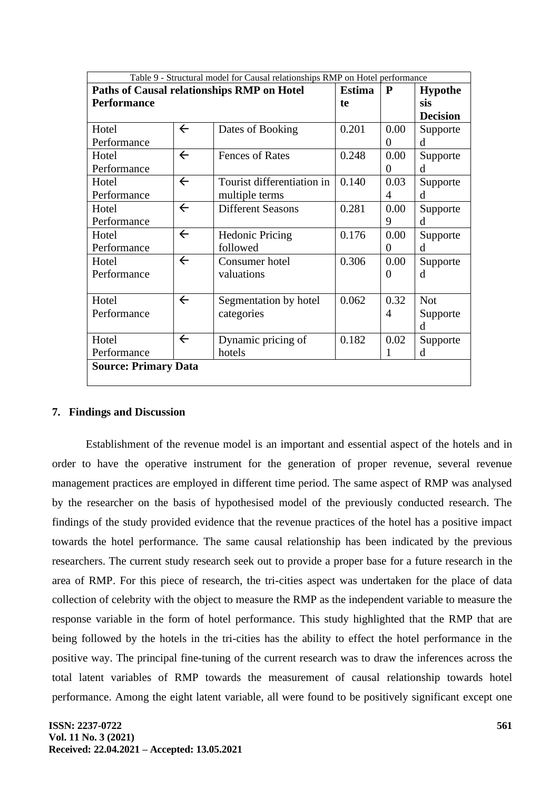| Table 9 - Structural model for Causal relationships RMP on Hotel performance |              |                            |           |                |                 |
|------------------------------------------------------------------------------|--------------|----------------------------|-----------|----------------|-----------------|
| Paths of Causal relationships RMP on Hotel                                   |              | <b>Estima</b>              | ${\bf P}$ | <b>Hypothe</b> |                 |
| <b>Performance</b>                                                           |              |                            | te        |                | sis             |
|                                                                              |              |                            |           |                | <b>Decision</b> |
| Hotel                                                                        | $\leftarrow$ | Dates of Booking           | 0.201     | 0.00           | Supporte        |
| Performance                                                                  |              |                            |           | $\Omega$       | d               |
| Hotel                                                                        | $\leftarrow$ | <b>Fences of Rates</b>     | 0.248     | 0.00           | Supporte        |
| Performance                                                                  |              |                            |           | $\Omega$       | d               |
| Hotel                                                                        | $\leftarrow$ | Tourist differentiation in | 0.140     | 0.03           | Supporte        |
| Performance                                                                  |              | multiple terms             |           | 4              | d               |
| Hotel                                                                        | $\leftarrow$ | <b>Different Seasons</b>   | 0.281     | 0.00           | Supporte        |
| Performance                                                                  |              |                            |           | 9              | <sub>d</sub>    |
| Hotel                                                                        | $\leftarrow$ | <b>Hedonic Pricing</b>     | 0.176     | 0.00           | Supporte        |
| Performance                                                                  |              | followed                   |           | 0              | d               |
| Hotel                                                                        | $\leftarrow$ | Consumer hotel             | 0.306     | 0.00           | Supporte        |
| Performance                                                                  |              | valuations                 |           | $\Omega$       | d               |
|                                                                              |              |                            |           |                |                 |
| Hotel                                                                        | $\leftarrow$ | Segmentation by hotel      | 0.062     | 0.32           | <b>Not</b>      |
| Performance                                                                  |              | categories                 |           | $\overline{A}$ | Supporte        |
|                                                                              |              |                            |           |                | d               |
| Hotel                                                                        | $\leftarrow$ | Dynamic pricing of         | 0.182     | 0.02           | Supporte        |
| Performance                                                                  |              | hotels                     |           | 1              | d               |
| <b>Source: Primary Data</b>                                                  |              |                            |           |                |                 |
|                                                                              |              |                            |           |                |                 |

# **7. Findings and Discussion**

Establishment of the revenue model is an important and essential aspect of the hotels and in order to have the operative instrument for the generation of proper revenue, several revenue management practices are employed in different time period. The same aspect of RMP was analysed by the researcher on the basis of hypothesised model of the previously conducted research. The findings of the study provided evidence that the revenue practices of the hotel has a positive impact towards the hotel performance. The same causal relationship has been indicated by the previous researchers. The current study research seek out to provide a proper base for a future research in the area of RMP. For this piece of research, the tri-cities aspect was undertaken for the place of data collection of celebrity with the object to measure the RMP as the independent variable to measure the response variable in the form of hotel performance. This study highlighted that the RMP that are being followed by the hotels in the tri-cities has the ability to effect the hotel performance in the positive way. The principal fine-tuning of the current research was to draw the inferences across the total latent variables of RMP towards the measurement of causal relationship towards hotel performance. Among the eight latent variable, all were found to be positively significant except one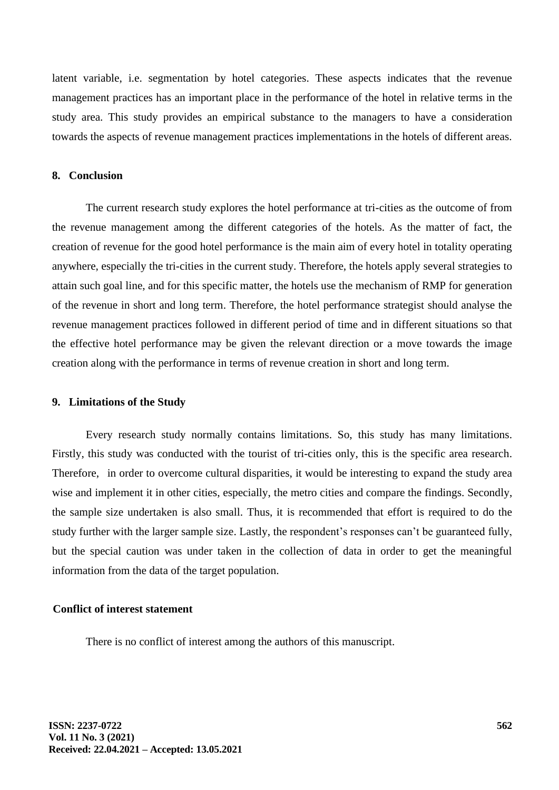latent variable, i.e. segmentation by hotel categories. These aspects indicates that the revenue management practices has an important place in the performance of the hotel in relative terms in the study area. This study provides an empirical substance to the managers to have a consideration towards the aspects of revenue management practices implementations in the hotels of different areas.

### **8. Conclusion**

The current research study explores the hotel performance at tri-cities as the outcome of from the revenue management among the different categories of the hotels. As the matter of fact, the creation of revenue for the good hotel performance is the main aim of every hotel in totality operating anywhere, especially the tri-cities in the current study. Therefore, the hotels apply several strategies to attain such goal line, and for this specific matter, the hotels use the mechanism of RMP for generation of the revenue in short and long term. Therefore, the hotel performance strategist should analyse the revenue management practices followed in different period of time and in different situations so that the effective hotel performance may be given the relevant direction or a move towards the image creation along with the performance in terms of revenue creation in short and long term.

## **9. Limitations of the Study**

Every research study normally contains limitations. So, this study has many limitations. Firstly, this study was conducted with the tourist of tri-cities only, this is the specific area research. Therefore, in order to overcome cultural disparities, it would be interesting to expand the study area wise and implement it in other cities, especially, the metro cities and compare the findings. Secondly, the sample size undertaken is also small. Thus, it is recommended that effort is required to do the study further with the larger sample size. Lastly, the respondent's responses can't be guaranteed fully, but the special caution was under taken in the collection of data in order to get the meaningful information from the data of the target population.

### **Conflict of interest statement**

There is no conflict of interest among the authors of this manuscript.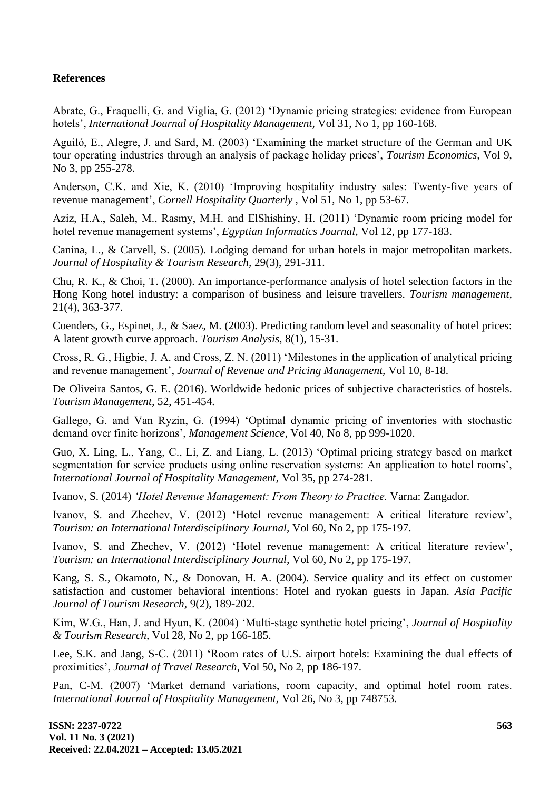# **References**

Abrate, G., Fraquelli, G. and Viglia, G. (2012) 'Dynamic pricing strategies: evidence from European hotels', *International Journal of Hospitality Management,* Vol 31, No 1, pp 160-168.

Aguiló, E., Alegre, J. and Sard, M. (2003) 'Examining the market structure of the German and UK tour operating industries through an analysis of package holiday prices', *Tourism Economics,* Vol 9, No 3, pp 255-278.

Anderson, C.K. and Xie, K. (2010) 'Improving hospitality industry sales: Twenty-five years of revenue management', *Cornell Hospitality Quarterly ,* Vol 51, No 1, pp 53-67.

Aziz, H.A., Saleh, M., Rasmy, M.H. and ElShishiny, H. (2011) 'Dynamic room pricing model for hotel revenue management systems', *Egyptian Informatics Journal,* Vol 12, pp 177-183.

Canina, L., & Carvell, S. (2005). Lodging demand for urban hotels in major metropolitan markets. *Journal of Hospitality & Tourism Research,* 29(3), 291-311.

Chu, R. K., & Choi, T. (2000). An importance-performance analysis of hotel selection factors in the Hong Kong hotel industry: a comparison of business and leisure travellers. *Tourism management,* 21(4), 363-377.

Coenders, G., Espinet, J., & Saez, M. (2003). Predicting random level and seasonality of hotel prices: A latent growth curve approach. *Tourism Analysis,* 8(1), 15-31.

Cross, R. G., Higbie, J. A. and Cross, Z. N. (2011) 'Milestones in the application of analytical pricing and revenue management', *Journal of Revenue and Pricing Management,* Vol 10, 8-18.

De Oliveira Santos, G. E. (2016). Worldwide hedonic prices of subjective characteristics of hostels. *Tourism Management,* 52, 451-454.

Gallego, G. and Van Ryzin, G. (1994) 'Optimal dynamic pricing of inventories with stochastic demand over finite horizons', *Management Science,* Vol 40, No 8, pp 999-1020.

Guo, X. Ling, L., Yang, C., Li, Z. and Liang, L. (2013) 'Optimal pricing strategy based on market segmentation for service products using online reservation systems: An application to hotel rooms', *International Journal of Hospitality Management,* Vol 35, pp 274-281.

Ivanov, S. (2014) *'Hotel Revenue Management: From Theory to Practice.* Varna: Zangador.

Ivanov, S. and Zhechev, V. (2012) 'Hotel revenue management: A critical literature review', *Tourism: an International Interdisciplinary Journal,* Vol 60, No 2, pp 175-197.

Ivanov, S. and Zhechev, V. (2012) 'Hotel revenue management: A critical literature review', *Tourism: an International Interdisciplinary Journal,* Vol 60, No 2, pp 175-197.

Kang, S. S., Okamoto, N., & Donovan, H. A. (2004). Service quality and its effect on customer satisfaction and customer behavioral intentions: Hotel and ryokan guests in Japan. *Asia Pacific Journal of Tourism Research,* 9(2), 189-202.

Kim, W.G., Han, J. and Hyun, K. (2004) 'Multi-stage synthetic hotel pricing', *Journal of Hospitality & Tourism Research,* Vol 28, No 2, pp 166-185.

Lee, S.K. and Jang, S-C. (2011) 'Room rates of U.S. airport hotels: Examining the dual effects of proximities', *Journal of Travel Research,* Vol 50, No 2, pp 186-197.

Pan, C-M. (2007) 'Market demand variations, room capacity, and optimal hotel room rates. *International Journal of Hospitality Management,* Vol 26, No 3, pp 748753.

**ISSN: 2237-0722 Vol. 11 No. 3 (2021) Received: 22.04.2021 – Accepted: 13.05.2021**